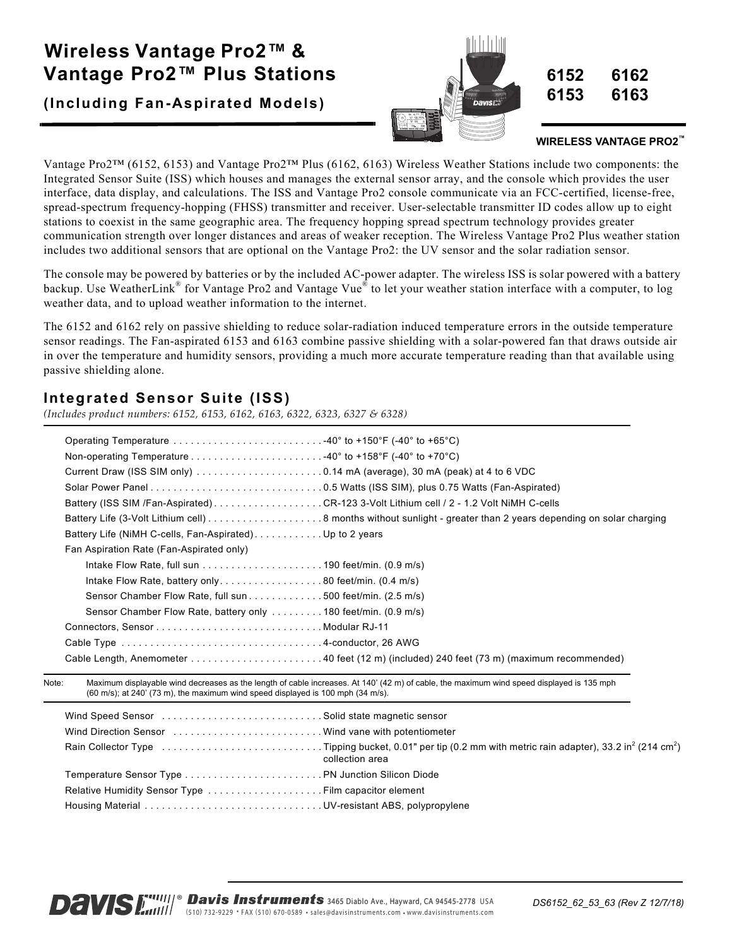# **Wireless Vantage Pro2™ & Vantage Pro2™ Plus Stations**

**(Including Fan-Aspirated Models)**



#### **WIRELESS VANTAGE PRO2™**

Vantage Pro2™ (6152, 6153) and Vantage Pro2™ Plus (6162, 6163) Wireless Weather Stations include two components: the Integrated Sensor Suite (ISS) which houses and manages the external sensor array, and the console which provides the user interface, data display, and calculations. The ISS and Vantage Pro2 console communicate via an FCC-certified, license-free, spread-spectrum frequency-hopping (FHSS) transmitter and receiver. User-selectable transmitter ID codes allow up to eight stations to coexist in the same geographic area. The frequency hopping spread spectrum technology provides greater communication strength over longer distances and areas of weaker reception. The Wireless Vantage Pro2 Plus weather station includes two additional sensors that are optional on the Vantage Pro2: the UV sensor and the solar radiation sensor.

The console may be powered by batteries or by the included AC-power adapter. The wireless ISS is solar powered with a battery backup. Use WeatherLink® for Vantage Pro2 and Vantage Vue® to let your weather station interface with a computer, to log weather data, and to upload weather information to the internet.

The 6152 and 6162 rely on passive shielding to reduce solar-radiation induced temperature errors in the outside temperature sensor readings. The Fan-aspirated 6153 and 6163 combine passive shielding with a solar-powered fan that draws outside air in over the temperature and humidity sensors, providing a much more accurate temperature reading than that available using passive shielding alone.

## **Integrated Sensor Suite (ISS)**

*(Includes product numbers: 6152, 6153, 6162, 6163, 6322, 6323, 6327 & 6328)*

| Operating Temperature 40° to +150°F (-40° to +65°C)                                                                          |                                                                                         |
|------------------------------------------------------------------------------------------------------------------------------|-----------------------------------------------------------------------------------------|
|                                                                                                                              |                                                                                         |
| Current Draw (ISS SIM only) $\ldots \ldots \ldots \ldots \ldots \ldots \ldots 0.14$ mA (average), 30 mA (peak) at 4 to 6 VDC |                                                                                         |
|                                                                                                                              |                                                                                         |
|                                                                                                                              | Battery (ISS SIM /Fan-Aspirated) CR-123 3-Volt Lithium cell / 2 - 1.2 Volt NiMH C-cells |
|                                                                                                                              |                                                                                         |
| Battery Life (NiMH C-cells, Fan-Aspirated) Up to 2 years                                                                     |                                                                                         |
| Fan Aspiration Rate (Fan-Aspirated only)                                                                                     |                                                                                         |
|                                                                                                                              |                                                                                         |
| Intake Flow Rate, battery only80 feet/min. $(0.4 \text{ m/s})$                                                               |                                                                                         |
| Sensor Chamber Flow Rate, full sun 500 feet/min. (2.5 m/s)                                                                   |                                                                                         |
|                                                                                                                              |                                                                                         |
|                                                                                                                              |                                                                                         |
|                                                                                                                              |                                                                                         |
|                                                                                                                              |                                                                                         |
|                                                                                                                              |                                                                                         |

Note: Maximum displayable wind decreases as the length of cable increases. At 140' (42 m) of cable, the maximum wind speed displayed is 135 mph (60 m/s); at 240' (73 m), the maximum wind speed displayed is 100 mph (34 m/s).

| Wind Speed Sensor  Solid state magnetic sensor     |                 |
|----------------------------------------------------|-----------------|
| Wind Direction Sensor Wind vane with potentiometer |                 |
|                                                    | collection area |
|                                                    |                 |
|                                                    |                 |
|                                                    |                 |

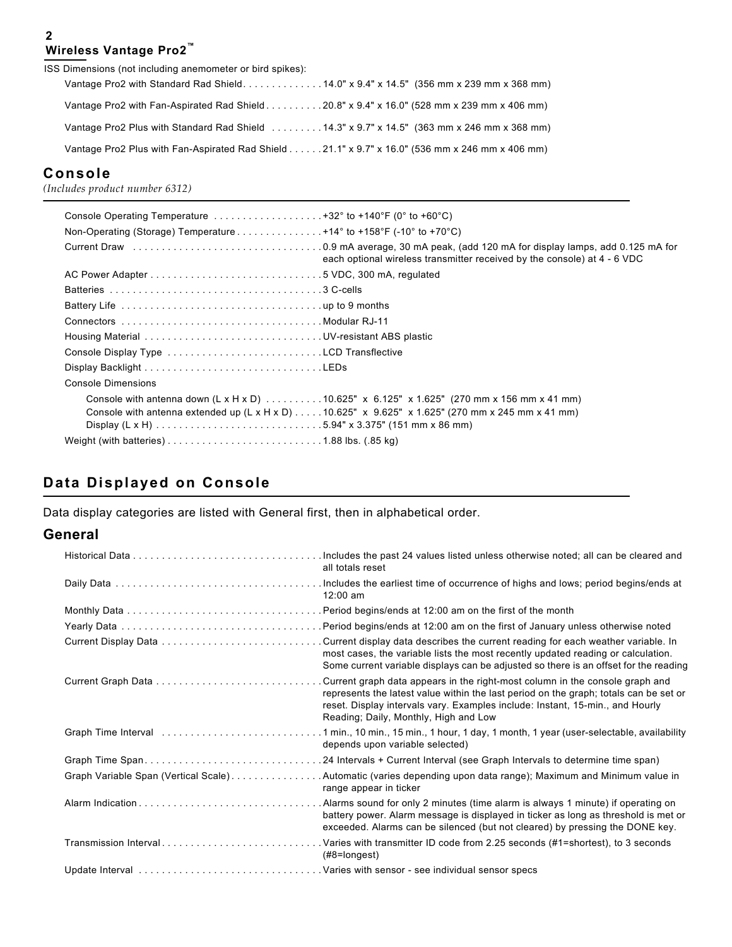#### **2 Wireless Vantage Pro2™**

| ISS Dimensions (not including anemometer or bird spikes):                                       |
|-------------------------------------------------------------------------------------------------|
|                                                                                                 |
| Vantage Pro2 with Fan-Aspirated Rad Shield 20.8" x 9.4" x 16.0" (528 mm x 239 mm x 406 mm)      |
| Vantage Pro2 Plus with Standard Rad Shield  14.3" x 9.7" x 14.5" (363 mm x 246 mm x 368 mm)     |
| Vantage Pro2 Plus with Fan-Aspirated Rad Shield 21.1" x 9.7" x 16.0" (536 mm x 246 mm x 406 mm) |

### **Console**

*(Includes product number 6312)*

| Console Operating Temperature $\dots \dots \dots \dots \dots \dots \dots$ +32° to +140°F (0° to +60°C) |                                                                                                              |
|--------------------------------------------------------------------------------------------------------|--------------------------------------------------------------------------------------------------------------|
| Non-Operating (Storage) Temperature 414° to +158°F (-10° to +70°C)                                     |                                                                                                              |
|                                                                                                        | each optional wireless transmitter received by the console) at 4 - 6 VDC                                     |
|                                                                                                        |                                                                                                              |
|                                                                                                        |                                                                                                              |
|                                                                                                        |                                                                                                              |
|                                                                                                        |                                                                                                              |
| Housing Material UV-resistant ABS plastic                                                              |                                                                                                              |
|                                                                                                        |                                                                                                              |
|                                                                                                        |                                                                                                              |
| Console Dimensions                                                                                     |                                                                                                              |
|                                                                                                        | Console with antenna down (L x H x D) 10.625" x 6.125" x 1.625" (270 mm x 156 mm x 41 mm)                    |
|                                                                                                        | Console with antenna extended up $(L \times H \times D)$ 10.625" x 9.625" x 1.625" (270 mm x 245 mm x 41 mm) |
|                                                                                                        |                                                                                                              |
|                                                                                                        |                                                                                                              |

## **Data Displayed on Console**

Data display categories are listed with General first, then in alphabetical order.

#### **General**

|                       | all totals reset                                                                                                                                                                                                                                                                                  |
|-----------------------|---------------------------------------------------------------------------------------------------------------------------------------------------------------------------------------------------------------------------------------------------------------------------------------------------|
|                       | $12:00$ am                                                                                                                                                                                                                                                                                        |
|                       |                                                                                                                                                                                                                                                                                                   |
|                       |                                                                                                                                                                                                                                                                                                   |
|                       | . Current display data describes the current reading for each weather variable. In<br>most cases, the variable lists the most recently updated reading or calculation.<br>Some current variable displays can be adjusted so there is an offset for the reading                                    |
|                       | . Current graph data appears in the right-most column in the console graph and<br>represents the latest value within the last period on the graph; totals can be set or<br>reset. Display intervals vary. Examples include: Instant, 15-min., and Hourly<br>Reading; Daily, Monthly, High and Low |
|                       | depends upon variable selected)                                                                                                                                                                                                                                                                   |
|                       |                                                                                                                                                                                                                                                                                                   |
|                       | Graph Variable Span (Vertical Scale). Automatic (varies depending upon data range); Maximum and Minimum value in<br>range appear in ticker                                                                                                                                                        |
|                       | battery power. Alarm message is displayed in ticker as long as threshold is met or<br>exceeded. Alarms can be silenced (but not cleared) by pressing the DONE key.                                                                                                                                |
| Transmission Interval | . Varies with transmitter ID code from 2.25 seconds (#1=shortest), to 3 seconds<br>$(H8 = longest)$                                                                                                                                                                                               |
|                       |                                                                                                                                                                                                                                                                                                   |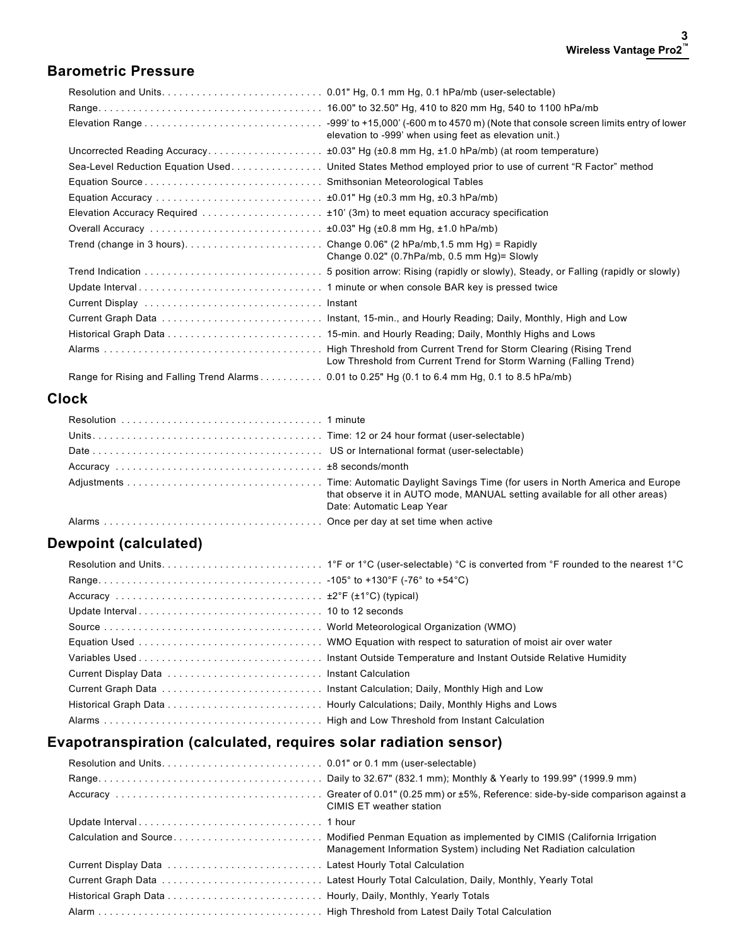#### **Barometric Pressure**

|                                                                                                                                             | elevation to -999' when using feet as elevation unit.)                                                     |
|---------------------------------------------------------------------------------------------------------------------------------------------|------------------------------------------------------------------------------------------------------------|
|                                                                                                                                             |                                                                                                            |
|                                                                                                                                             | Sea-Level Reduction Equation Used. United States Method employed prior to use of current "R Factor" method |
|                                                                                                                                             |                                                                                                            |
|                                                                                                                                             |                                                                                                            |
| Elevation Accuracy Required $\ldots \ldots \ldots \ldots \ldots \ldots \pm 10'$ (3m) to meet equation accuracy specification                |                                                                                                            |
| Overall Accuracy $\ldots \ldots \ldots \ldots \ldots \ldots \ldots \ldots \ldots \ldots \pm 0.03$ " Hg ( $\pm 0.8$ mm Hg, $\pm 1.0$ hPa/mb) |                                                                                                            |
|                                                                                                                                             | Change $0.02$ " (0.7hPa/mb, 0.5 mm Hg)= Slowly                                                             |
|                                                                                                                                             |                                                                                                            |
|                                                                                                                                             |                                                                                                            |
|                                                                                                                                             |                                                                                                            |
|                                                                                                                                             |                                                                                                            |
|                                                                                                                                             |                                                                                                            |
|                                                                                                                                             | Low Threshold from Current Trend for Storm Warning (Falling Trend)                                         |
| Range for Rising and Falling Trend Alarms 0.01 to 0.25" Hg (0.1 to 6.4 mm Hg, 0.1 to 8.5 hPa/mb)                                            |                                                                                                            |

## **Clock**

|  | that observe it in AUTO mode, MANUAL setting available for all other areas)<br>Date: Automatic Leap Year |
|--|----------------------------------------------------------------------------------------------------------|
|  |                                                                                                          |

## **Dewpoint (calculated)**

## **Evapotranspiration (calculated, requires solar radiation sensor)**

| CIMIS ET weather station                                           |
|--------------------------------------------------------------------|
|                                                                    |
| Management Information System) including Net Radiation calculation |
|                                                                    |
|                                                                    |
|                                                                    |
|                                                                    |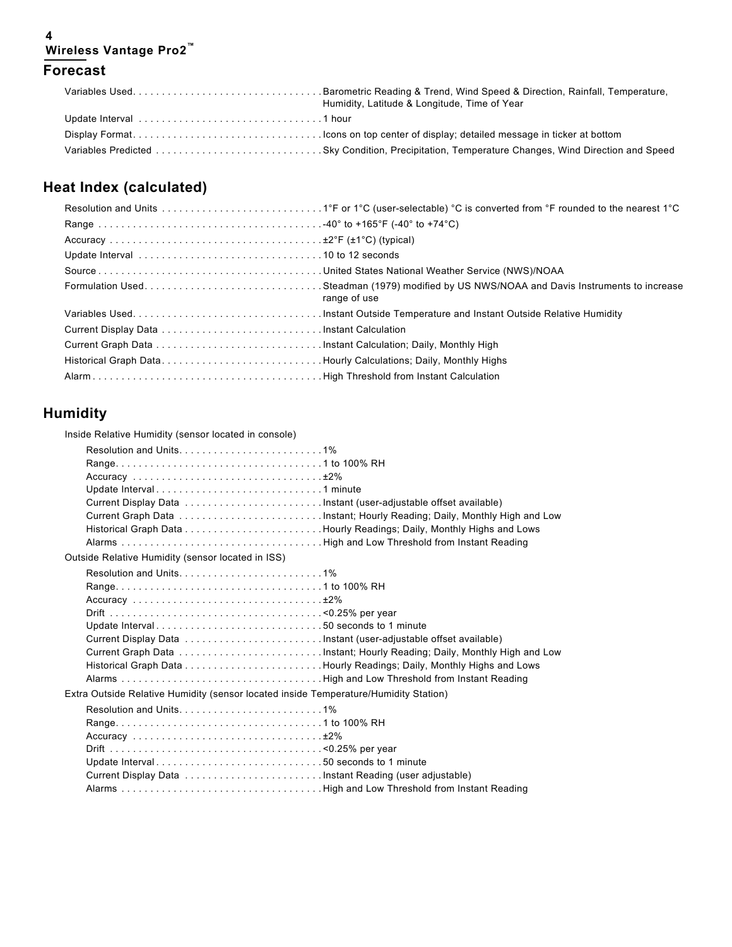#### **4 Wireless Vantage Pro2™ Forecast**

| Variables UsedBarometric Reading & Trend, Wind Speed & Direction, Rainfall, Temperature,<br>Humidity, Latitude & Longitude, Time of Year |
|------------------------------------------------------------------------------------------------------------------------------------------|
|                                                                                                                                          |
|                                                                                                                                          |
|                                                                                                                                          |

# **Heat Index (calculated)**

| range of use |
|--------------|
|              |
|              |
|              |
|              |
|              |

## **Humidity**

Inside Relative Humidity (sensor located in console)

| Resolution and Units1%<br>Update Interval1 minute                                    |  |
|--------------------------------------------------------------------------------------|--|
| Outside Relative Humidity (sensor located in ISS)                                    |  |
| Update Interval50 seconds to 1 minute                                                |  |
| Extra Outside Relative Humidity (sensor located inside Temperature/Humidity Station) |  |
| Update Interval50 seconds to 1 minute                                                |  |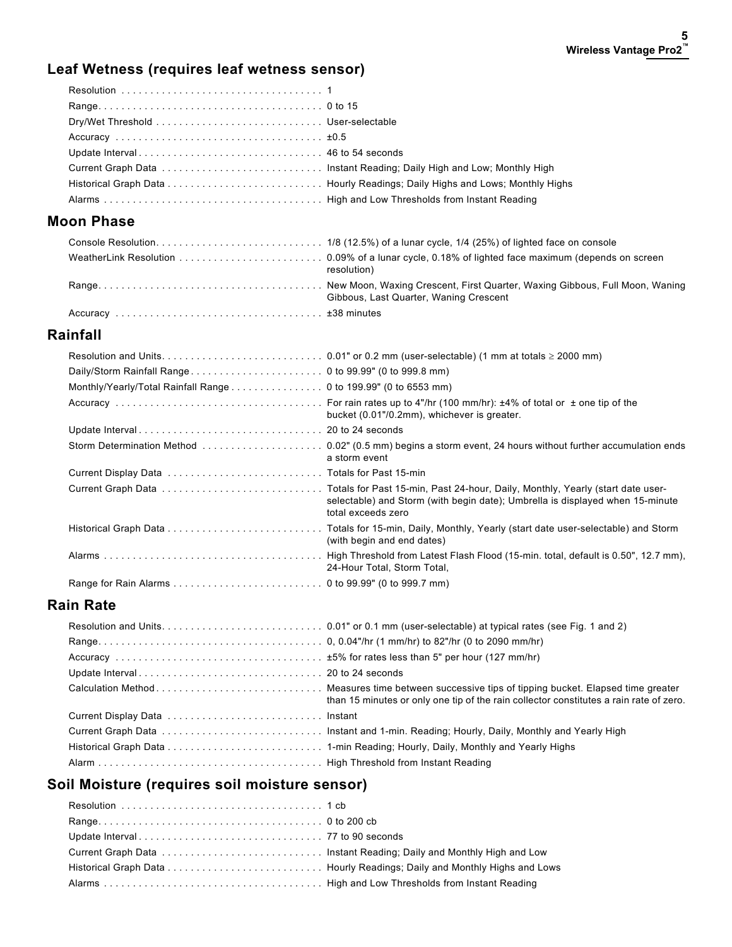# **Leaf Wetness (requires leaf wetness sensor)**

## **Moon Phase**

| resolution)                            |
|----------------------------------------|
| Gibbous, Last Quarter, Waning Crescent |
|                                        |

### **Rainfall**

| Monthly/Yearly/Total Rainfall Range 0 to 199.99" (0 to 6553 mm) |                                                                                                     |
|-----------------------------------------------------------------|-----------------------------------------------------------------------------------------------------|
|                                                                 | bucket (0.01"/0.2mm), whichever is greater.                                                         |
|                                                                 |                                                                                                     |
|                                                                 | a storm event                                                                                       |
|                                                                 |                                                                                                     |
|                                                                 | selectable) and Storm (with begin date); Umbrella is displayed when 15-minute<br>total exceeds zero |
|                                                                 | (with begin and end dates)                                                                          |
|                                                                 | 24-Hour Total, Storm Total,                                                                         |
|                                                                 |                                                                                                     |

#### **Rain Rate**

| than 15 minutes or only one tip of the rain collector constitutes a rain rate of zero. |
|----------------------------------------------------------------------------------------|
|                                                                                        |
|                                                                                        |
|                                                                                        |
|                                                                                        |

## **Soil Moisture (requires soil moisture sensor)**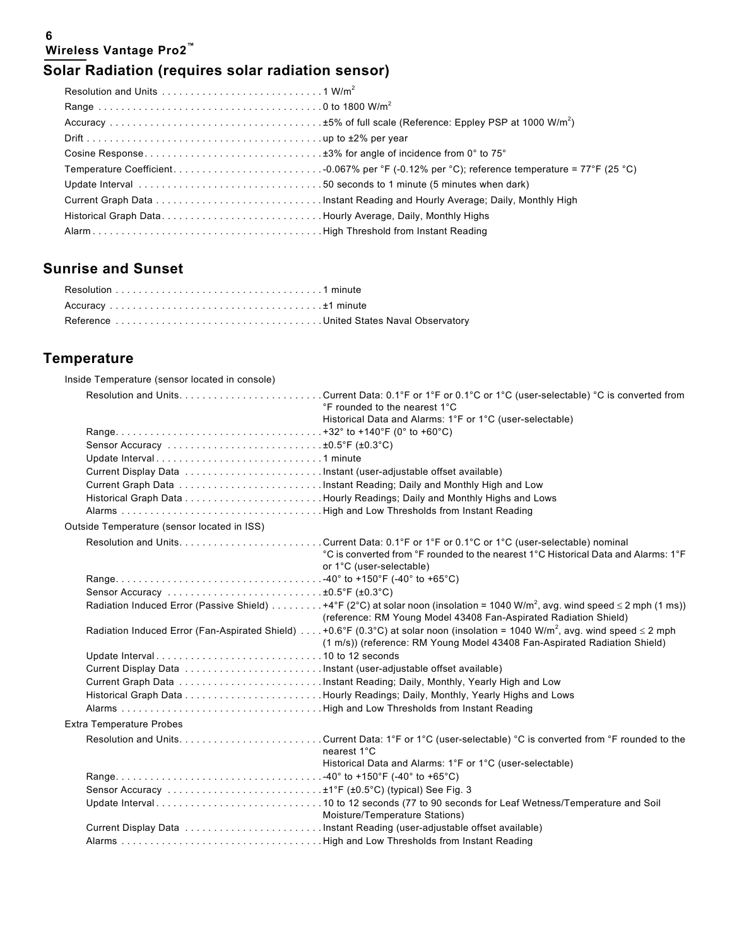#### **6 Wireless Vantage Pro2™**

# **Solar Radiation (requires solar radiation sensor)**

| Historical Graph DataHourly Average, Daily, Monthly Highs |  |
|-----------------------------------------------------------|--|
|                                                           |  |

## **Sunrise and Sunset**

# **Temperature**

| Inside Temperature (sensor located in console) |                                                                                                                                                                                                                             |
|------------------------------------------------|-----------------------------------------------------------------------------------------------------------------------------------------------------------------------------------------------------------------------------|
|                                                | °F rounded to the nearest 1°C                                                                                                                                                                                               |
|                                                | Historical Data and Alarms: 1°F or 1°C (user-selectable)                                                                                                                                                                    |
|                                                |                                                                                                                                                                                                                             |
|                                                |                                                                                                                                                                                                                             |
|                                                |                                                                                                                                                                                                                             |
|                                                |                                                                                                                                                                                                                             |
|                                                |                                                                                                                                                                                                                             |
|                                                |                                                                                                                                                                                                                             |
|                                                |                                                                                                                                                                                                                             |
| Outside Temperature (sensor located in ISS)    |                                                                                                                                                                                                                             |
|                                                | °C is converted from °F rounded to the nearest 1°C Historical Data and Alarms: 1°F<br>or 1°C (user-selectable)                                                                                                              |
|                                                |                                                                                                                                                                                                                             |
|                                                |                                                                                                                                                                                                                             |
|                                                | Radiation Induced Error (Passive Shield) 4°F (2°C) at solar noon (insolation = 1040 W/m <sup>2</sup> , avg. wind speed $\leq$ 2 mph (1 ms))<br>(reference: RM Young Model 43408 Fan-Aspirated Radiation Shield)             |
|                                                | Radiation Induced Error (Fan-Aspirated Shield) +0.6°F (0.3°C) at solar noon (insolation = 1040 W/m <sup>2</sup> , avg. wind speed $\leq$ 2 mph<br>(1 m/s)) (reference: RM Young Model 43408 Fan-Aspirated Radiation Shield) |
|                                                |                                                                                                                                                                                                                             |
|                                                |                                                                                                                                                                                                                             |
|                                                |                                                                                                                                                                                                                             |
|                                                |                                                                                                                                                                                                                             |
|                                                |                                                                                                                                                                                                                             |
| <b>Extra Temperature Probes</b>                |                                                                                                                                                                                                                             |
|                                                | nearest 1°C                                                                                                                                                                                                                 |
|                                                | Historical Data and Alarms: 1°F or 1°C (user-selectable)                                                                                                                                                                    |
|                                                |                                                                                                                                                                                                                             |
|                                                |                                                                                                                                                                                                                             |
|                                                | Moisture/Temperature Stations)                                                                                                                                                                                              |
|                                                |                                                                                                                                                                                                                             |
|                                                |                                                                                                                                                                                                                             |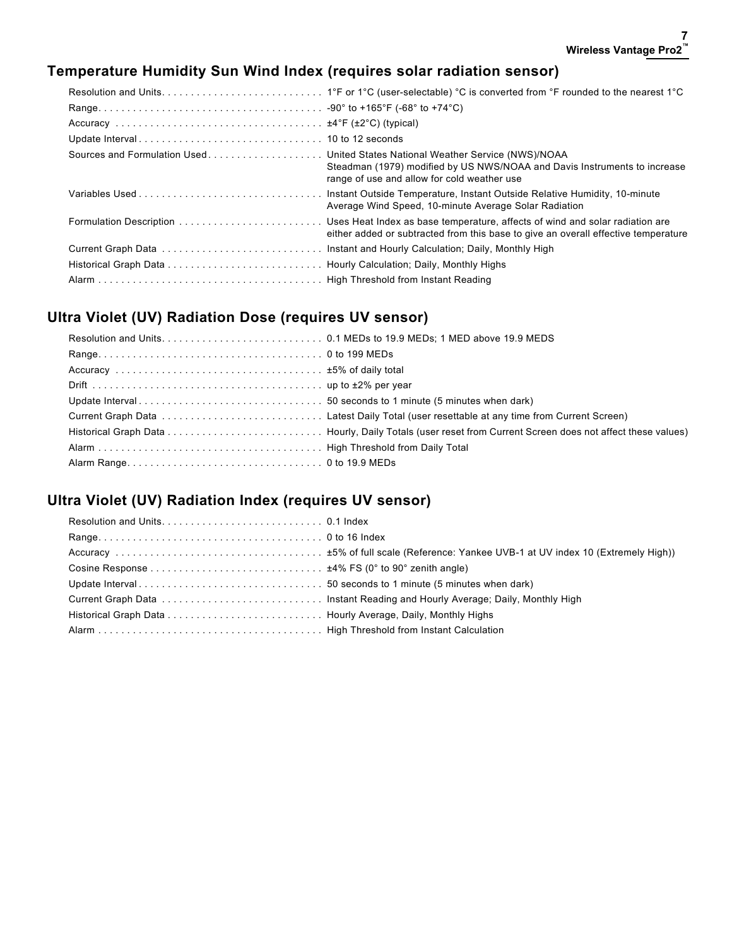## **Temperature Humidity Sun Wind Index (requires solar radiation sensor)**

| Sources and Formulation Used United States National Weather Service (NWS)/NOAA | Steadman (1979) modified by US NWS/NOAA and Davis Instruments to increase<br>range of use and allow for cold weather use |
|--------------------------------------------------------------------------------|--------------------------------------------------------------------------------------------------------------------------|
|                                                                                | Average Wind Speed, 10-minute Average Solar Radiation                                                                    |
|                                                                                | either added or subtracted from this base to give an overall effective temperature                                       |
|                                                                                |                                                                                                                          |
|                                                                                |                                                                                                                          |
|                                                                                |                                                                                                                          |

### **Ultra Violet (UV) Radiation Dose (requires UV sensor)**

## **Ultra Violet (UV) Radiation Index (requires UV sensor)**

| Cosine Response $\dots\dots\dots\dots\dots\dots\dots\dots\dots\dots\dots$ $\pm$ 4% FS (0° to 90° zenith angle) |  |
|----------------------------------------------------------------------------------------------------------------|--|
|                                                                                                                |  |
|                                                                                                                |  |
|                                                                                                                |  |
|                                                                                                                |  |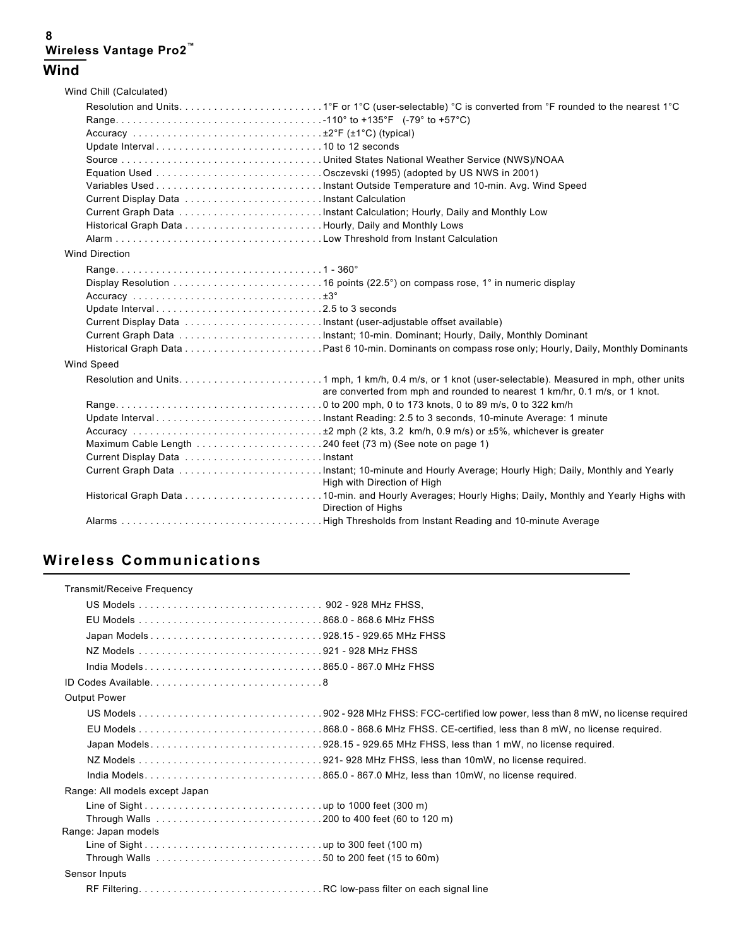#### **8 Wireless Vantage Pro2™ Wind**

|                       | Wind Chill (Calculated)         |                                                                            |
|-----------------------|---------------------------------|----------------------------------------------------------------------------|
|                       |                                 |                                                                            |
|                       |                                 |                                                                            |
|                       |                                 |                                                                            |
|                       |                                 |                                                                            |
|                       |                                 |                                                                            |
|                       |                                 |                                                                            |
|                       |                                 |                                                                            |
|                       |                                 |                                                                            |
|                       |                                 |                                                                            |
|                       |                                 |                                                                            |
|                       |                                 |                                                                            |
| <b>Wind Direction</b> |                                 |                                                                            |
|                       |                                 |                                                                            |
|                       |                                 |                                                                            |
|                       |                                 |                                                                            |
|                       | Update Interval2.5 to 3 seconds |                                                                            |
|                       |                                 |                                                                            |
|                       |                                 |                                                                            |
|                       |                                 |                                                                            |
| Wind Speed            |                                 |                                                                            |
|                       |                                 | are converted from mph and rounded to nearest 1 km/hr, 0.1 m/s, or 1 knot. |
|                       |                                 |                                                                            |
|                       |                                 |                                                                            |
|                       |                                 |                                                                            |
|                       |                                 |                                                                            |
|                       |                                 |                                                                            |
|                       |                                 | High with Direction of High                                                |
|                       |                                 | Direction of Highs                                                         |
|                       |                                 |                                                                            |

## **Wireless Communications**

| Transmit/Receive Frequency                                                 |
|----------------------------------------------------------------------------|
|                                                                            |
|                                                                            |
|                                                                            |
|                                                                            |
|                                                                            |
|                                                                            |
| <b>Output Power</b>                                                        |
|                                                                            |
|                                                                            |
| Japan Models928.15 - 929.65 MHz FHSS, less than 1 mW, no license required. |
|                                                                            |
|                                                                            |
| Range: All models except Japan                                             |
|                                                                            |
|                                                                            |
| Range: Japan models                                                        |
|                                                                            |
|                                                                            |
| Sensor Inputs                                                              |
|                                                                            |
|                                                                            |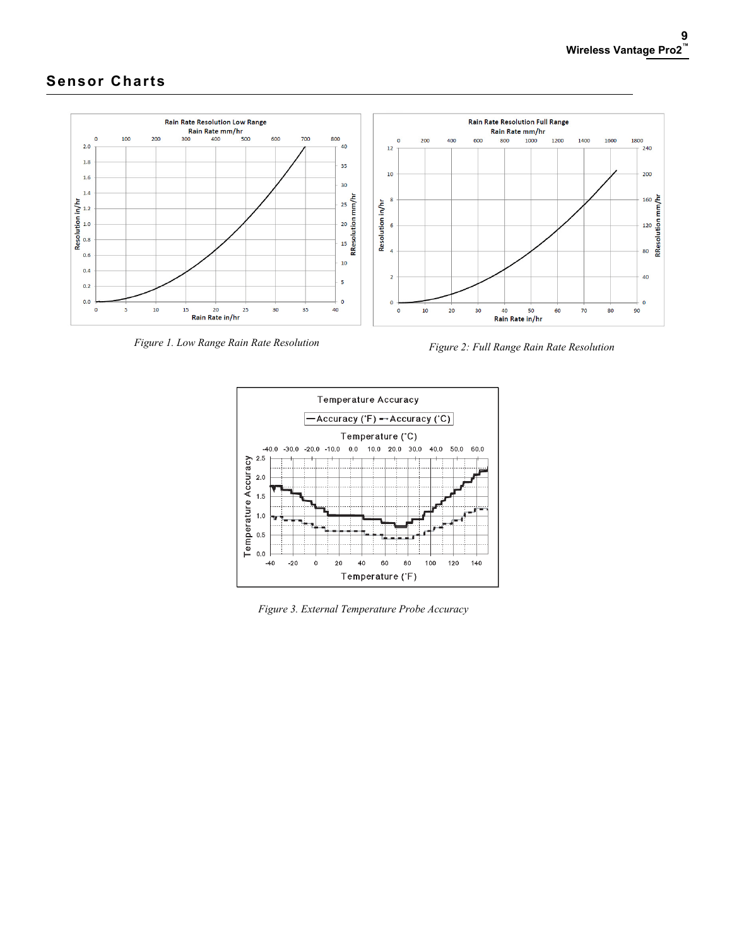## **Sensor Charts**



*Figure 1. Low Range Rain Rate Resolution Figure 2: Full Range Rain Rate Resolution*



*Figure 3. External Temperature Probe Accuracy*